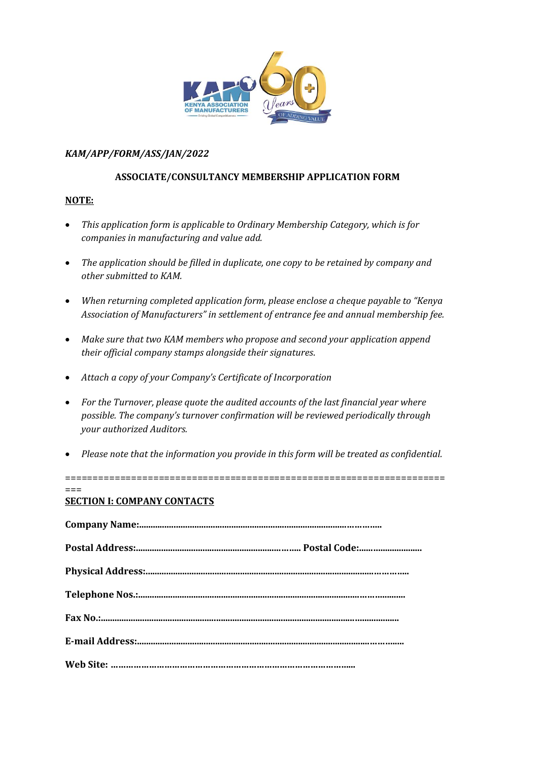

## *KAM/APP/FORM/ASS/JAN/2022*

## **ASSOCIATE/CONSULTANCY MEMBERSHIP APPLICATION FORM**

## **NOTE:**

- *This application form is applicable to Ordinary Membership Category, which is for companies in manufacturing and value add.*
- *The application should be filled in duplicate, one copy to be retained by company and other submitted to KAM.*
- *When returning completed application form, please enclose a cheque payable to "Kenya Association of Manufacturers" in settlement of entrance fee and annual membership fee.*
- *Make sure that two KAM members who propose and second your application append their official company stamps alongside their signatures*.
- *Attach a copy of your Company's Certificate of Incorporation*
- *For the Turnover, please quote the audited accounts of the last financial year where possible. The company's turnover confirmation will be reviewed periodically through your authorized Auditors.*
- *Please note that the information you provide in this form will be treated as confidential.*

=====================================================================

 $=$ 

# **SECTION I: COMPANY CONTACTS**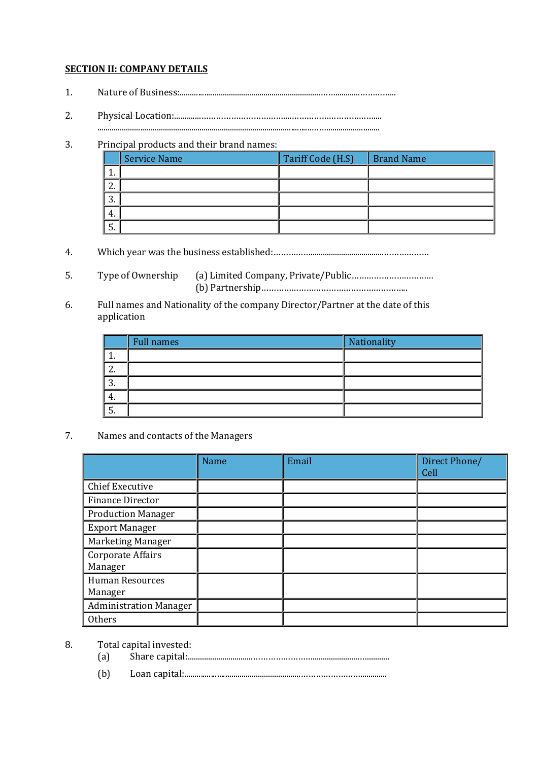## **SECTION II: COMPANY DETAILS**

- 1. Nature of Business:.....................................................................……............…………...
- 2. Physical Location:.............……………………………....……………………………....

# .........................................................................................................……..........................

# 3. Principal products and their brand names:

|                 | <b>Service Name</b> | Tariff Code (H.S) | <b>Brand Name</b> |
|-----------------|---------------------|-------------------|-------------------|
|                 |                     |                   |                   |
| ົ<br><u>L</u> . |                     |                   |                   |
| ി<br>.ა.        |                     |                   |                   |
| 4.              |                     |                   |                   |
| 5.              |                     |                   |                   |

- 4. Which year was the business established:……………....................................………………
- 5. Type of Ownership (a) Limited Company, Private/Public…………………………… (b) Partnership…………………………………………………..
- 6. Full names and Nationality of the company Director/Partner at the date of this application

|         | <b>Full names</b> | Nationality |
|---------|-------------------|-------------|
| π.      |                   |             |
| ◠<br>Ζ. |                   |             |
| ി<br>3. |                   |             |
| 4.      |                   |             |
| ວ.      |                   |             |

7. Names and contacts of the Managers

|                                   | <b>Name</b> | Email | Direct Phone/<br>Cell |
|-----------------------------------|-------------|-------|-----------------------|
| <b>Chief Executive</b>            |             |       |                       |
| <b>Finance Director</b>           |             |       |                       |
| <b>Production Manager</b>         |             |       |                       |
| <b>Export Manager</b>             |             |       |                       |
| Marketing Manager                 |             |       |                       |
| Corporate Affairs<br>Manager      |             |       |                       |
| <b>Human Resources</b><br>Manager |             |       |                       |
| <b>Administration Manager</b>     |             |       |                       |
| <b>Others</b>                     |             |       |                       |

## 8. Total capital invested:

- (a) Share capital:................................…………………….......................…...........
- (b) Loan capital:.........................................................…………………….............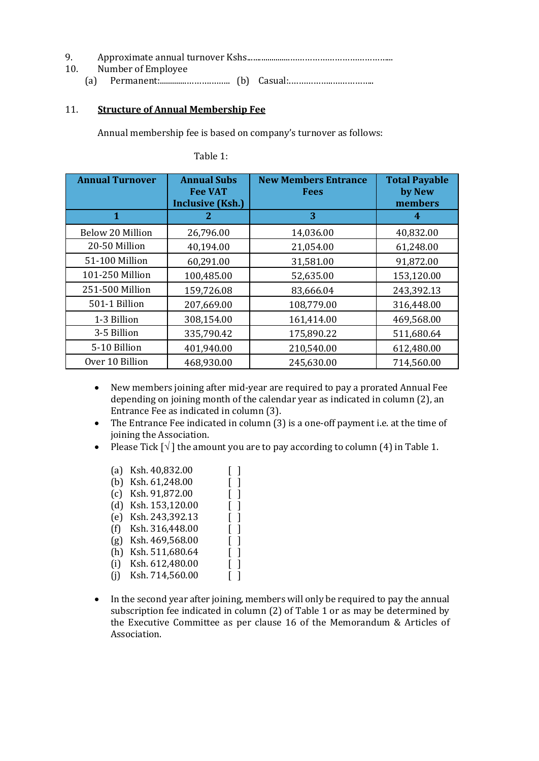| 10. | Number of Employee |  |
|-----|--------------------|--|
|     |                    |  |

## 11. **Structure of Annual Membership Fee**

Annual membership fee is based on company's turnover as follows:

| <b>Annual Turnover</b> | <b>Annual Subs</b><br><b>Fee VAT</b><br><b>Inclusive (Ksh.)</b> | <b>New Members Entrance</b><br><b>Fees</b> | <b>Total Payable</b><br>by New<br>members |
|------------------------|-----------------------------------------------------------------|--------------------------------------------|-------------------------------------------|
| 1                      | 2                                                               | 3                                          | 4                                         |
| Below 20 Million       | 26,796.00                                                       | 14,036.00                                  | 40,832.00                                 |
| 20-50 Million          | 40,194.00                                                       | 21,054.00                                  | 61,248.00                                 |
| 51-100 Million         | 60,291.00                                                       | 31,581.00                                  | 91,872.00                                 |
| 101-250 Million        | 100,485.00                                                      | 52,635.00                                  | 153,120.00                                |
| 251-500 Million        | 159,726.08                                                      | 83,666.04                                  | 243,392.13                                |
| 501-1 Billion          | 207,669.00                                                      | 108,779.00                                 | 316,448.00                                |
| 1-3 Billion            | 308,154.00                                                      | 161,414.00                                 | 469,568.00                                |
| 3-5 Billion            | 335,790.42                                                      | 175,890.22                                 | 511,680.64                                |
| 5-10 Billion           | 401,940.00                                                      | 210,540.00                                 | 612,480.00                                |
| Over 10 Billion        | 468,930.00                                                      | 245,630.00                                 | 714,560.00                                |

- New members joining after mid-year are required to pay a prorated Annual Fee depending on joining month of the calendar year as indicated in column (2), an Entrance Fee as indicated in column (3).
- The Entrance Fee indicated in column (3) is a one-off payment i.e. at the time of joining the Association.
- Please Tick  $[\sqrt{\ }]$  the amount you are to pay according to column (4) in Table 1.

| (a) | Ksh. 40,832.00  |                               |
|-----|-----------------|-------------------------------|
| (b) | Ksh. 61,248.00  |                               |
| (c) | Ksh. 91,872.00  | $\blacksquare$                |
| (d) | Ksh. 153,120.00 | $\blacksquare$                |
| (e) | Ksh. 243,392.13 |                               |
| (f) | Ksh. 316,448.00 | $\mathsf{L}$                  |
| (g) | Ksh. 469,568.00 | $\big)$                       |
| (h) | Ksh. 511,680.64 | $\overline{\phantom{a}}$<br>L |
| (i) | Ksh. 612,480.00 | $\mathsf{L}$                  |
| (i) | Ksh. 714,560.00 |                               |
|     |                 |                               |

• In the second year after joining, members will only be required to pay the annual subscription fee indicated in column (2) of Table 1 or as may be determined by the Executive Committee as per clause 16 of the Memorandum & Articles of Association.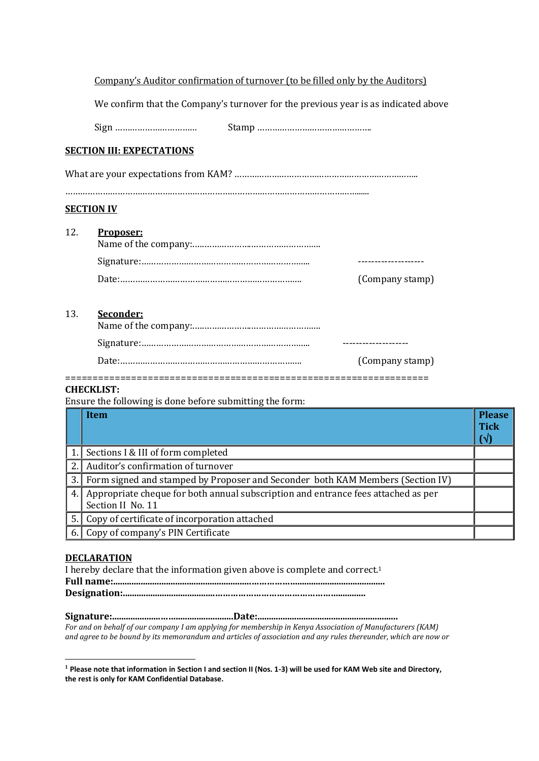We confirm that the Company's turnover for the previous year is as indicated above

Sign …………………………… Stamp ……………………………………….

## **SECTION III: EXPECTATIONS**

What are your expectations from KAM? ………………………………………………………………..

………………………………………………………………………………………………………......

#### **SECTION IV**

| 12 <sub>1</sub> | Proposer: |                 |
|-----------------|-----------|-----------------|
|                 |           |                 |
|                 |           | (Company stamp) |

## 13. **Seconder:**

| (Company stamp) |
|-----------------|

#### ==================================================================

#### **CHECKLIST:**

Ensure the following is done before submitting the form:

|    | Item                                                                                                   | <b>Please</b><br><b>Tick</b><br>$(\sqrt{2})$ |
|----|--------------------------------------------------------------------------------------------------------|----------------------------------------------|
| 1. | Sections I & III of form completed                                                                     |                                              |
| 2. | Auditor's confirmation of turnover                                                                     |                                              |
| 3. | Form signed and stamped by Proposer and Seconder both KAM Members (Section IV)                         |                                              |
| 4. | Appropriate cheque for both annual subscription and entrance fees attached as per<br>Section II No. 11 |                                              |
| 5. | Copy of certificate of incorporation attached                                                          |                                              |
|    | Copy of company's PIN Certificate                                                                      |                                              |

### **DECLARATION**

| I hereby declare that the information given above is complete and correct. <sup>1</sup> |  |
|-----------------------------------------------------------------------------------------|--|
|                                                                                         |  |
|                                                                                         |  |

## **Signature:.....................…….........................Date:.............................................................**

*For and on behalf of our company I am applying for membership in Kenya Association of Manufacturers (KAM) and agree to be bound by its memorandum and articles of association and any rules thereunder, which are now or* 

**<sup>1</sup> Please note that information in Section I and section II (Nos. 1-3) will be used for KAM Web site and Directory, the rest is only for KAM Confidential Database.**